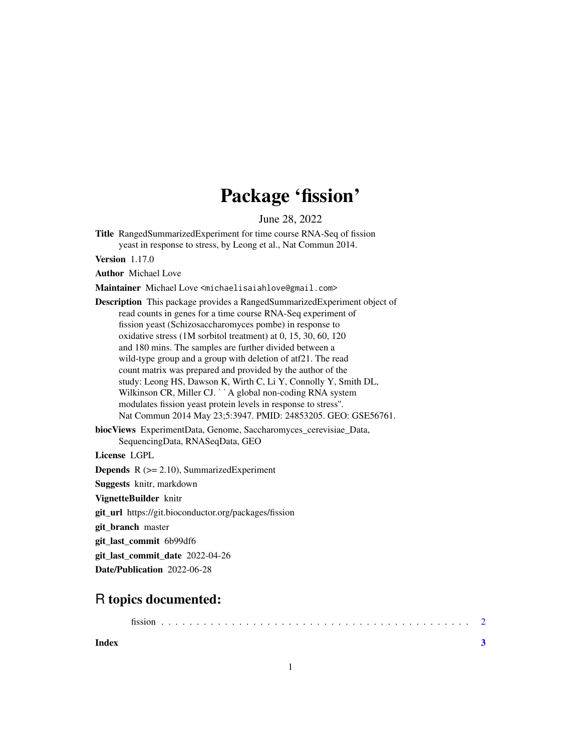## Package 'fission'

June 28, 2022

Title RangedSummarizedExperiment for time course RNA-Seq of fission yeast in response to stress, by Leong et al., Nat Commun 2014.

Version 1.17.0

Author Michael Love

Maintainer Michael Love <michaelisaiahlove@gmail.com>

Description This package provides a RangedSummarizedExperiment object of read counts in genes for a time course RNA-Seq experiment of fission yeast (Schizosaccharomyces pombe) in response to oxidative stress (1M sorbitol treatment) at 0, 15, 30, 60, 120 and 180 mins. The samples are further divided between a wild-type group and a group with deletion of atf21. The read count matrix was prepared and provided by the author of the study: Leong HS, Dawson K, Wirth C, Li Y, Connolly Y, Smith DL, wha-type group and a group will determed of attact. The read<br>count matrix was prepared and provided by the author of the<br>study: Leong HS, Dawson K, Wirth C, Li Y, Connolly Y, Smit<br>Wilkinson CR, Miller CJ. ``A global non-co modulates fission yeast protein levels in response to stress''. Nat Commun 2014 May 23;5:3947. PMID: 24853205. GEO: GSE56761.

biocViews ExperimentData, Genome, Saccharomyces\_cerevisiae\_Data, SequencingData, RNASeqData, GEO

License LGPL

Depends R (>= 2.10), SummarizedExperiment

Suggests knitr, markdown

VignetteBuilder knitr

git\_url https://git.bioconductor.org/packages/fission

git\_branch master

git\_last\_commit 6b99df6

git\_last\_commit\_date 2022-04-26

Date/Publication 2022-06-28

### R topics documented:

**Index** [3](#page-2-0)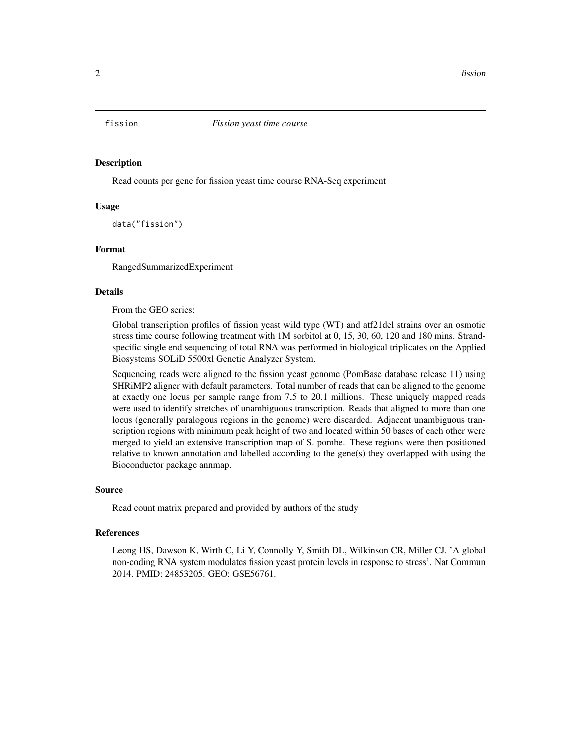<span id="page-1-0"></span>

#### Description

Read counts per gene for fission yeast time course RNA-Seq experiment

#### Usage

data("fission")

#### Format

RangedSummarizedExperiment

#### Details

From the GEO series:

Global transcription profiles of fission yeast wild type (WT) and atf21del strains over an osmotic stress time course following treatment with 1M sorbitol at 0, 15, 30, 60, 120 and 180 mins. Strandspecific single end sequencing of total RNA was performed in biological triplicates on the Applied Biosystems SOLiD 5500xl Genetic Analyzer System.

Sequencing reads were aligned to the fission yeast genome (PomBase database release 11) using SHRiMP2 aligner with default parameters. Total number of reads that can be aligned to the genome at exactly one locus per sample range from 7.5 to 20.1 millions. These uniquely mapped reads were used to identify stretches of unambiguous transcription. Reads that aligned to more than one locus (generally paralogous regions in the genome) were discarded. Adjacent unambiguous transcription regions with minimum peak height of two and located within 50 bases of each other were merged to yield an extensive transcription map of S. pombe. These regions were then positioned relative to known annotation and labelled according to the gene(s) they overlapped with using the Bioconductor package annmap.

#### Source

Read count matrix prepared and provided by authors of the study

#### References

Leong HS, Dawson K, Wirth C, Li Y, Connolly Y, Smith DL, Wilkinson CR, Miller CJ. 'A global non-coding RNA system modulates fission yeast protein levels in response to stress'. Nat Commun 2014. PMID: 24853205. GEO: GSE56761.